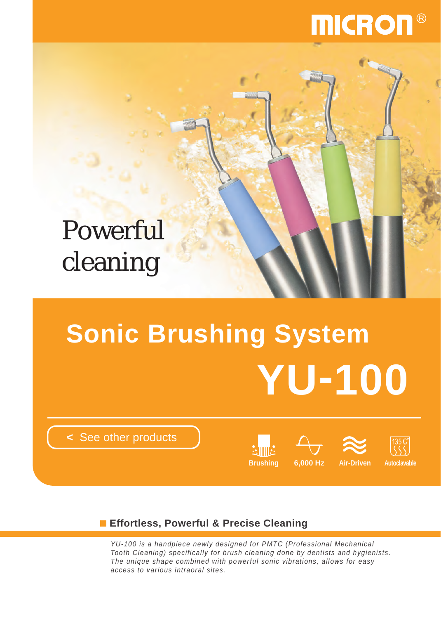# **MICRON**

## Powerful cleaning

# **Sonic Brushing System YU-100**

**<** [See other products](http://www.micdent.com/new_page/NeoM2/brochure.html)







**Effortless, Powerful & Precise Cleaning**

*YU-100 is a handpiece newly designed for PMTC (Professional Mechanical Tooth Cleaning) specifically for brush cleaning done by dentists and hygienists. The unique shape combined with powerful sonic vibrations, allows for easy access to various intraoral sites.*